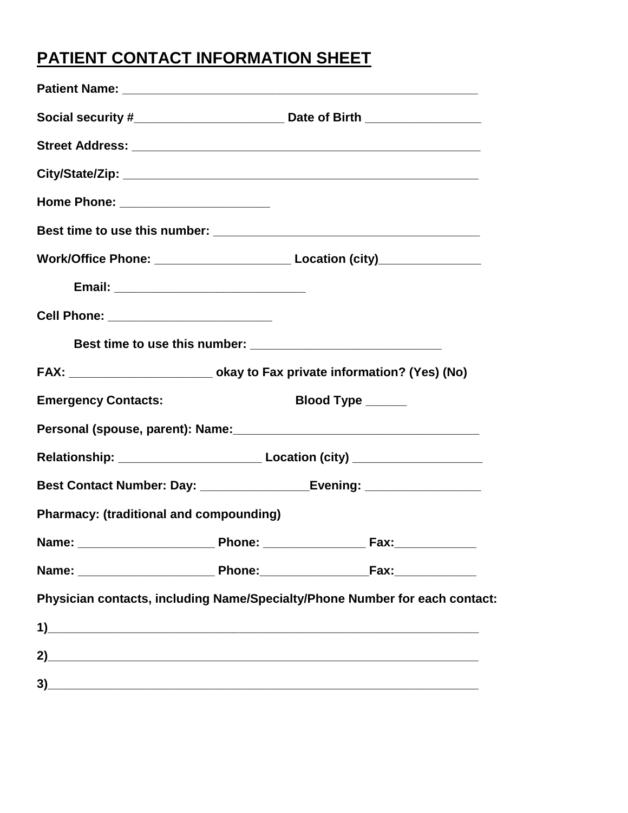# **PATIENT CONTACT INFORMATION SHEET**

| Home Phone: ________________________                                            |                                                                                  |
|---------------------------------------------------------------------------------|----------------------------------------------------------------------------------|
|                                                                                 |                                                                                  |
|                                                                                 | Work/Office Phone: ________________________________Location (city)______________ |
|                                                                                 |                                                                                  |
| Cell Phone: _________________________                                           |                                                                                  |
|                                                                                 |                                                                                  |
| FAX: _______________________________okay to Fax private information? (Yes) (No) |                                                                                  |
| <b>Emergency Contacts:</b>                                                      | Blood Type ______                                                                |
|                                                                                 |                                                                                  |
|                                                                                 |                                                                                  |
|                                                                                 |                                                                                  |
| <b>Pharmacy: (traditional and compounding)</b>                                  |                                                                                  |
|                                                                                 |                                                                                  |
|                                                                                 |                                                                                  |
|                                                                                 | Physician contacts, including Name/Specialty/Phone Number for each contact:      |
| $\overline{1}$                                                                  |                                                                                  |
| $\overline{2}$                                                                  |                                                                                  |
|                                                                                 |                                                                                  |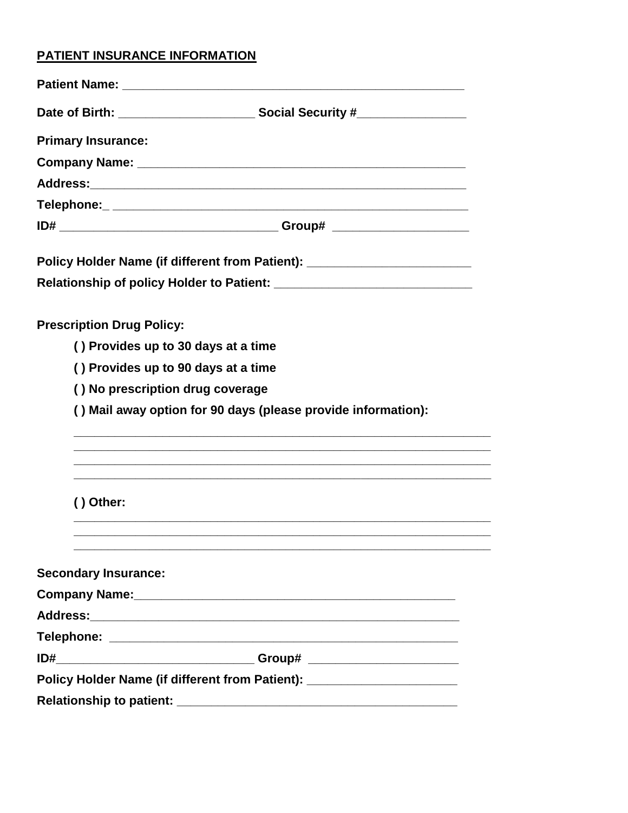## **PATIENT INSURANCE INFORMATION**

| <b>Primary Insurance:</b>                                                        |                                                                                  |
|----------------------------------------------------------------------------------|----------------------------------------------------------------------------------|
|                                                                                  |                                                                                  |
|                                                                                  |                                                                                  |
|                                                                                  |                                                                                  |
|                                                                                  |                                                                                  |
|                                                                                  | Policy Holder Name (if different from Patient): ________________________________ |
|                                                                                  |                                                                                  |
| <b>Prescription Drug Policy:</b>                                                 |                                                                                  |
| () Provides up to 30 days at a time                                              |                                                                                  |
| () Provides up to 90 days at a time                                              |                                                                                  |
| () No prescription drug coverage                                                 |                                                                                  |
|                                                                                  | () Mail away option for 90 days (please provide information):                    |
|                                                                                  |                                                                                  |
|                                                                                  |                                                                                  |
| $()$ Other:                                                                      |                                                                                  |
|                                                                                  |                                                                                  |
| <b>Secondary Insurance:</b>                                                      |                                                                                  |
|                                                                                  |                                                                                  |
|                                                                                  |                                                                                  |
|                                                                                  |                                                                                  |
| ID#                                                                              |                                                                                  |
| Policy Holder Name (if different from Patient): ________________________________ |                                                                                  |
|                                                                                  |                                                                                  |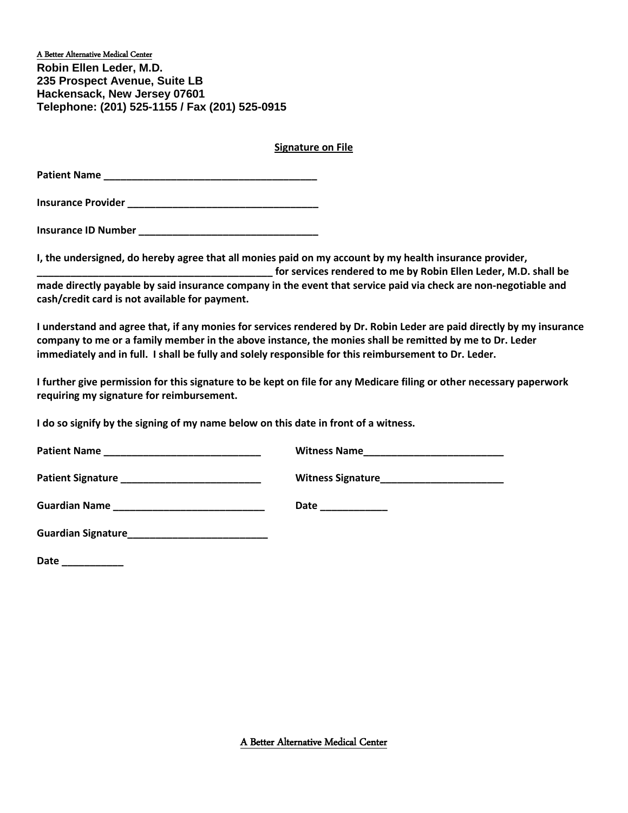A Better Alternative Medical Center **Robin Ellen Leder, M.D. 235 Prospect Avenue, Suite LB Hackensack, New Jersey 07601 Telephone: (201) 525-1155 / Fax (201) 525-0915**

### **Signature on File**

**Patient Name \_\_\_\_\_\_\_\_\_\_\_\_\_\_\_\_\_\_\_\_\_\_\_\_\_\_\_\_\_\_\_\_\_\_\_\_\_\_**

**Insurance Provider \_\_\_\_\_\_\_\_\_\_\_\_\_\_\_\_\_\_\_\_\_\_\_\_\_\_\_\_\_\_\_\_\_\_**

**Insurance ID Number \_\_\_\_\_\_\_\_\_\_\_\_\_\_\_\_\_\_\_\_\_\_\_\_\_\_\_\_\_\_\_\_**

**I, the undersigned, do hereby agree that all monies paid on my account by my health insurance provider, \_\_\_\_\_\_\_\_\_\_\_\_\_\_\_\_\_\_\_\_\_\_\_\_\_\_\_\_\_\_\_\_\_\_\_\_\_\_\_\_\_\_ for services rendered to me by Robin Ellen Leder, M.D. shall be made directly payable by said insurance company in the event that service paid via check are non-negotiable and cash/credit card is not available for payment.**

**I understand and agree that, if any monies for services rendered by Dr. Robin Leder are paid directly by my insurance company to me or a family member in the above instance, the monies shall be remitted by me to Dr. Leder immediately and in full. I shall be fully and solely responsible for this reimbursement to Dr. Leder.**

**I further give permission for this signature to be kept on file for any Medicare filing or other necessary paperwork requiring my signature for reimbursement.**

**I do so signify by the signing of my name below on this date in front of a witness.**

| Guardian Name __________________________________ | Date _____________ |
|--------------------------------------------------|--------------------|
| Guardian Signature______________________________ |                    |

**Date \_\_\_\_\_\_\_\_\_\_\_**

A Better Alternative Medical Center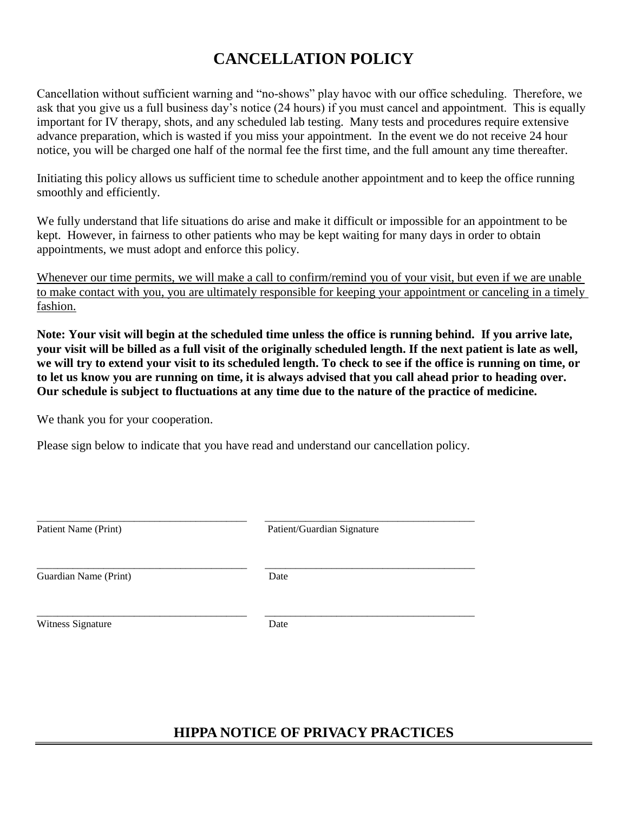# **CANCELLATION POLICY**

Cancellation without sufficient warning and "no-shows" play havoc with our office scheduling. Therefore, we ask that you give us a full business day's notice (24 hours) if you must cancel and appointment. This is equally important for IV therapy, shots, and any scheduled lab testing. Many tests and procedures require extensive advance preparation, which is wasted if you miss your appointment. In the event we do not receive 24 hour notice, you will be charged one half of the normal fee the first time, and the full amount any time thereafter.

Initiating this policy allows us sufficient time to schedule another appointment and to keep the office running smoothly and efficiently.

We fully understand that life situations do arise and make it difficult or impossible for an appointment to be kept. However, in fairness to other patients who may be kept waiting for many days in order to obtain appointments, we must adopt and enforce this policy.

Whenever our time permits, we will make a call to confirm/remind you of your visit, but even if we are unable to make contact with you, you are ultimately responsible for keeping your appointment or canceling in a timely fashion.

**Note: Your visit will begin at the scheduled time unless the office is running behind. If you arrive late, your visit will be billed as a full visit of the originally scheduled length. If the next patient is late as well, we will try to extend your visit to its scheduled length. To check to see if the office is running on time, or to let us know you are running on time, it is always advised that you call ahead prior to heading over. Our schedule is subject to fluctuations at any time due to the nature of the practice of medicine.**

We thank you for your cooperation.

Please sign below to indicate that you have read and understand our cancellation policy.

| Patient Name (Print)  | Patient/Guardian Signature |
|-----------------------|----------------------------|
| Guardian Name (Print) | Date                       |
| Witness Signature     | Date                       |

## **HIPPA NOTICE OF PRIVACY PRACTICES**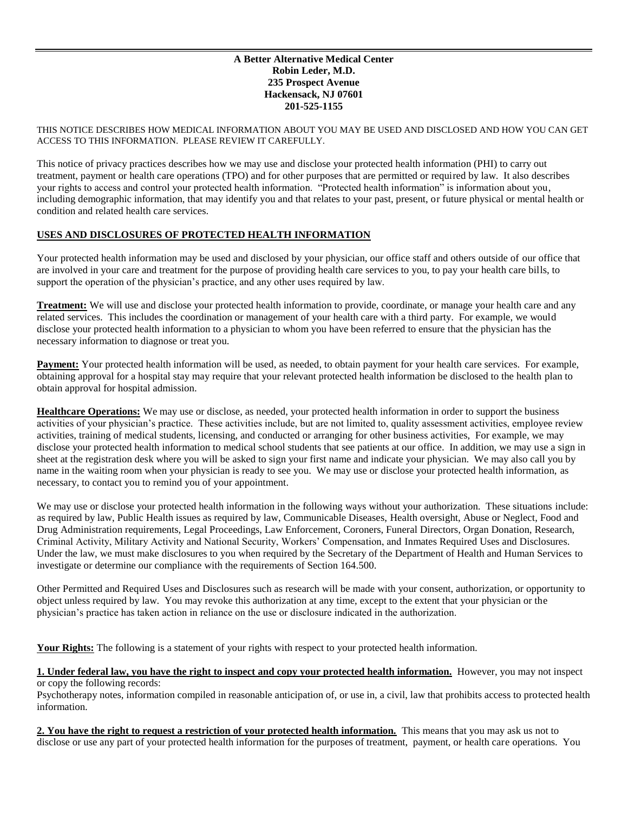#### **A Better Alternative Medical Center Robin Leder, M.D. 235 Prospect Avenue Hackensack, NJ 07601 201-525-1155**

THIS NOTICE DESCRIBES HOW MEDICAL INFORMATION ABOUT YOU MAY BE USED AND DISCLOSED AND HOW YOU CAN GET ACCESS TO THIS INFORMATION. PLEASE REVIEW IT CAREFULLY.

This notice of privacy practices describes how we may use and disclose your protected health information (PHI) to carry out treatment, payment or health care operations (TPO) and for other purposes that are permitted or required by law. It also describes your rights to access and control your protected health information. "Protected health information" is information about you, including demographic information, that may identify you and that relates to your past, present, or future physical or mental health or condition and related health care services.

#### **USES AND DISCLOSURES OF PROTECTED HEALTH INFORMATION**

Your protected health information may be used and disclosed by your physician, our office staff and others outside of our office that are involved in your care and treatment for the purpose of providing health care services to you, to pay your health care bills, to support the operation of the physician's practice, and any other uses required by law.

**Treatment:** We will use and disclose your protected health information to provide, coordinate, or manage your health care and any related services. This includes the coordination or management of your health care with a third party. For example, we would disclose your protected health information to a physician to whom you have been referred to ensure that the physician has the necessary information to diagnose or treat you.

**Payment:** Your protected health information will be used, as needed, to obtain payment for your health care services. For example, obtaining approval for a hospital stay may require that your relevant protected health information be disclosed to the health plan to obtain approval for hospital admission.

**Healthcare Operations:** We may use or disclose, as needed, your protected health information in order to support the business activities of your physician's practice. These activities include, but are not limited to, quality assessment activities, employee review activities, training of medical students, licensing, and conducted or arranging for other business activities, For example, we may disclose your protected health information to medical school students that see patients at our office. In addition, we may use a sign in sheet at the registration desk where you will be asked to sign your first name and indicate your physician. We may also call you by name in the waiting room when your physician is ready to see you. We may use or disclose your protected health information, as necessary, to contact you to remind you of your appointment.

We may use or disclose your protected health information in the following ways without your authorization. These situations include: as required by law, Public Health issues as required by law, Communicable Diseases, Health oversight, Abuse or Neglect, Food and Drug Administration requirements, Legal Proceedings, Law Enforcement, Coroners, Funeral Directors, Organ Donation, Research, Criminal Activity, Military Activity and National Security, Workers' Compensation, and Inmates Required Uses and Disclosures. Under the law, we must make disclosures to you when required by the Secretary of the Department of Health and Human Services to investigate or determine our compliance with the requirements of Section 164.500.

Other Permitted and Required Uses and Disclosures such as research will be made with your consent, authorization, or opportunity to object unless required by law. You may revoke this authorization at any time, except to the extent that your physician or the physician's practice has taken action in reliance on the use or disclosure indicated in the authorization.

Your Rights: The following is a statement of your rights with respect to your protected health information.

**1. Under federal law, you have the right to inspect and copy your protected health information.** However, you may not inspect or copy the following records:

Psychotherapy notes, information compiled in reasonable anticipation of, or use in, a civil, law that prohibits access to protected health information.

**2. You have the right to request a restriction of your protected health information.** This means that you may ask us not to disclose or use any part of your protected health information for the purposes of treatment, payment, or health care operations. You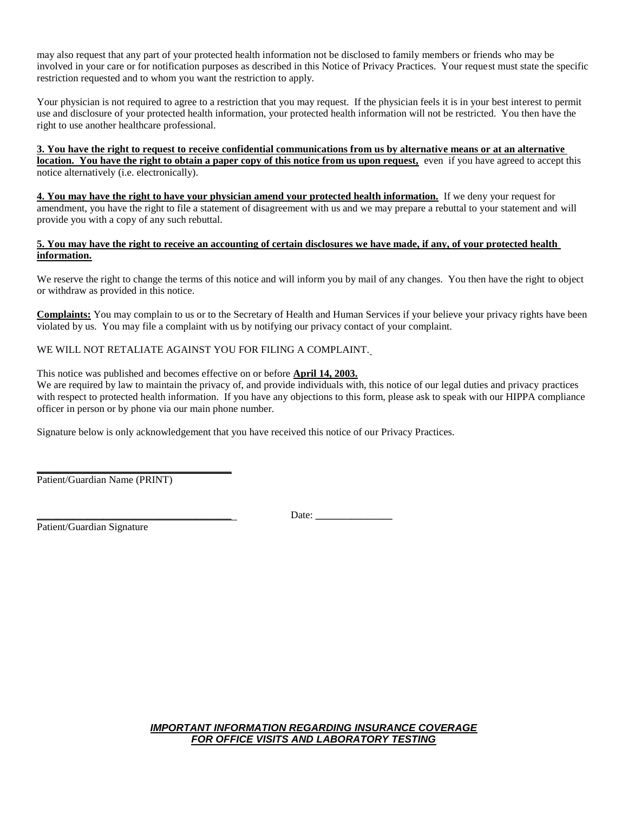may also request that any part of your protected health information not be disclosed to family members or friends who may be involved in your care or for notification purposes as described in this Notice of Privacy Practices. Your request must state the specific restriction requested and to whom you want the restriction to apply.

Your physician is not required to agree to a restriction that you may request. If the physician feels it is in your best interest to permit use and disclosure of your protected health information, your protected health information will not be restricted. You then have the right to use another healthcare professional.

**3. You have the right to request to receive confidential communications from us by alternative means or at an alternative location.** You have the right to obtain a paper copy of this notice from us upon request, even if you have agreed to accept this notice alternatively (i.e. electronically).

**4. You may have the right to have your physician amend your protected health information.** If we deny your request for amendment, you have the right to file a statement of disagreement with us and we may prepare a rebuttal to your statement and will provide you with a copy of any such rebuttal.

#### **5. You may have the right to receive an accounting of certain disclosures we have made, if any, of your protected health information.**

We reserve the right to change the terms of this notice and will inform you by mail of any changes. You then have the right to object or withdraw as provided in this notice.

**Complaints:** You may complain to us or to the Secretary of Health and Human Services if your believe your privacy rights have been violated by us. You may file a complaint with us by notifying our privacy contact of your complaint.

### WE WILL NOT RETALIATE AGAINST YOU FOR FILING A COMPLAINT.

officer in person or by phone via our main phone number.

This notice was published and becomes effective on or before **April 14, 2003.** We are required by law to maintain the privacy of, and provide individuals with, this notice of our legal duties and privacy practices with respect to protected health information. If you have any objections to this form, please ask to speak with our HIPPA compliance

Signature below is only acknowledgement that you have received this notice of our Privacy Practices.

**\_\_\_\_\_\_\_\_\_\_\_\_\_\_\_\_\_\_\_\_\_\_\_\_\_\_\_\_\_\_\_\_\_\_\_\_\_\_** Patient/Guardian Name (PRINT)

Date:

Patient/Guardian Signature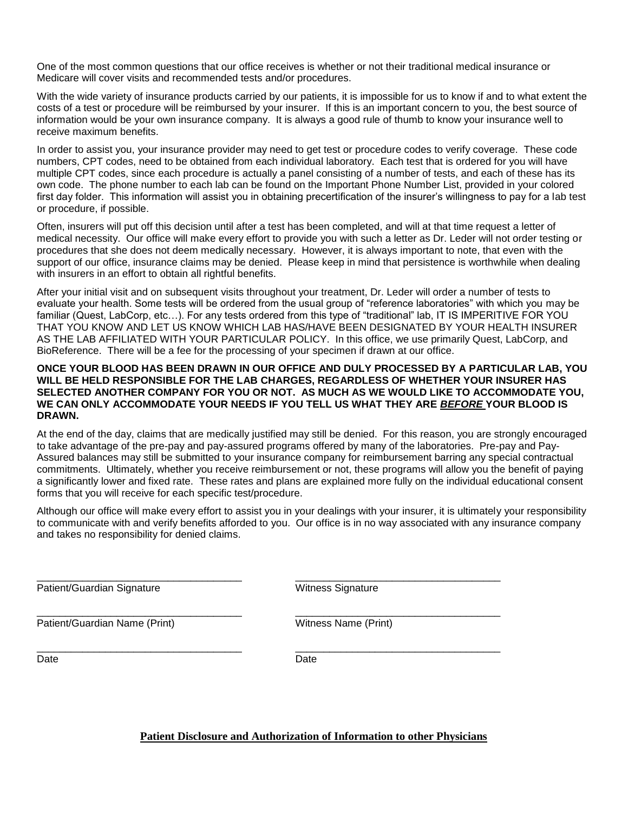One of the most common questions that our office receives is whether or not their traditional medical insurance or Medicare will cover visits and recommended tests and/or procedures.

With the wide variety of insurance products carried by our patients, it is impossible for us to know if and to what extent the costs of a test or procedure will be reimbursed by your insurer. If this is an important concern to you, the best source of information would be your own insurance company. It is always a good rule of thumb to know your insurance well to receive maximum benefits.

In order to assist you, your insurance provider may need to get test or procedure codes to verify coverage. These code numbers, CPT codes, need to be obtained from each individual laboratory. Each test that is ordered for you will have multiple CPT codes, since each procedure is actually a panel consisting of a number of tests, and each of these has its own code. The phone number to each lab can be found on the Important Phone Number List, provided in your colored first day folder. This information will assist you in obtaining precertification of the insurer's willingness to pay for a lab test or procedure, if possible.

Often, insurers will put off this decision until after a test has been completed, and will at that time request a letter of medical necessity. Our office will make every effort to provide you with such a letter as Dr. Leder will not order testing or procedures that she does not deem medically necessary. However, it is always important to note, that even with the support of our office, insurance claims may be denied. Please keep in mind that persistence is worthwhile when dealing with insurers in an effort to obtain all rightful benefits.

After your initial visit and on subsequent visits throughout your treatment, Dr. Leder will order a number of tests to evaluate your health. Some tests will be ordered from the usual group of "reference laboratories" with which you may be familiar (Quest, LabCorp, etc…). For any tests ordered from this type of "traditional" lab, IT IS IMPERITIVE FOR YOU THAT YOU KNOW AND LET US KNOW WHICH LAB HAS/HAVE BEEN DESIGNATED BY YOUR HEALTH INSURER AS THE LAB AFFILIATED WITH YOUR PARTICULAR POLICY. In this office, we use primarily Quest, LabCorp, and BioReference. There will be a fee for the processing of your specimen if drawn at our office.

#### **ONCE YOUR BLOOD HAS BEEN DRAWN IN OUR OFFICE AND DULY PROCESSED BY A PARTICULAR LAB, YOU WILL BE HELD RESPONSIBLE FOR THE LAB CHARGES, REGARDLESS OF WHETHER YOUR INSURER HAS SELECTED ANOTHER COMPANY FOR YOU OR NOT. AS MUCH AS WE WOULD LIKE TO ACCOMMODATE YOU, WE CAN ONLY ACCOMMODATE YOUR NEEDS IF YOU TELL US WHAT THEY ARE** *BEFORE* **YOUR BLOOD IS DRAWN.**

At the end of the day, claims that are medically justified may still be denied. For this reason, you are strongly encouraged to take advantage of the pre-pay and pay-assured programs offered by many of the laboratories. Pre-pay and Pay-Assured balances may still be submitted to your insurance company for reimbursement barring any special contractual commitments. Ultimately, whether you receive reimbursement or not, these programs will allow you the benefit of paying a significantly lower and fixed rate. These rates and plans are explained more fully on the individual educational consent forms that you will receive for each specific test/procedure.

Although our office will make every effort to assist you in your dealings with your insurer, it is ultimately your responsibility to communicate with and verify benefits afforded to you. Our office is in no way associated with any insurance company and takes no responsibility for denied claims.

Patient/Guardian Signature Witness Signature

\_\_\_\_\_\_\_\_\_\_\_\_\_\_\_\_\_\_\_\_\_\_\_\_\_\_\_\_\_\_\_\_\_\_\_\_ \_\_\_\_\_\_\_\_\_\_\_\_\_\_\_\_\_\_\_\_\_\_\_\_\_\_\_\_\_\_\_\_\_\_\_\_

Patient/Guardian Name (Print) Witness Name (Print)

Date **Date** Date **Date** Date **Date** 

\_\_\_\_\_\_\_\_\_\_\_\_\_\_\_\_\_\_\_\_\_\_\_\_\_\_\_\_\_\_\_\_\_\_\_\_ \_\_\_\_\_\_\_\_\_\_\_\_\_\_\_\_\_\_\_\_\_\_\_\_\_\_\_\_\_\_\_\_\_\_\_\_

\_\_\_\_\_\_\_\_\_\_\_\_\_\_\_\_\_\_\_\_\_\_\_\_\_\_\_\_\_\_\_\_\_\_\_\_ \_\_\_\_\_\_\_\_\_\_\_\_\_\_\_\_\_\_\_\_\_\_\_\_\_\_\_\_\_\_\_\_\_\_\_\_

#### **Patient Disclosure and Authorization of Information to other Physicians**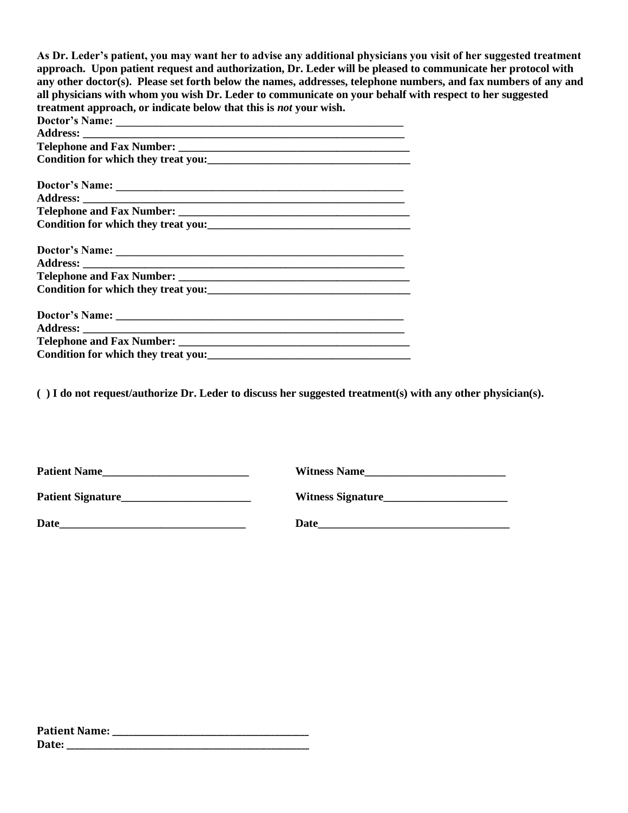**As Dr. Leder's patient, you may want her to advise any additional physicians you visit of her suggested treatment approach. Upon patient request and authorization, Dr. Leder will be pleased to communicate her protocol with any other doctor(s). Please set forth below the names, addresses, telephone numbers, and fax numbers of any and all physicians with whom you wish Dr. Leder to communicate on your behalf with respect to her suggested treatment approach, or indicate below that this is** *not* **your wish.**

| и саписне арргоасп, от ниясате основу пас сню ю тог убат вым                      |
|-----------------------------------------------------------------------------------|
|                                                                                   |
|                                                                                   |
|                                                                                   |
|                                                                                   |
|                                                                                   |
|                                                                                   |
|                                                                                   |
|                                                                                   |
|                                                                                   |
|                                                                                   |
|                                                                                   |
| Condition for which they treat you:<br><u>Condition for which they treat you:</u> |
|                                                                                   |
|                                                                                   |
|                                                                                   |
|                                                                                   |
|                                                                                   |

**( ) I do not request/authorize Dr. Leder to discuss her suggested treatment(s) with any other physician(s).**

| <b>Patient Name</b><br><u> 1980 - Jan Barbara Barbara, maso a sensibal de la propia de la propia de la propia de la propia de la propia d</u> | <b>Witness Name</b>      |
|-----------------------------------------------------------------------------------------------------------------------------------------------|--------------------------|
| <b>Patient Signature</b>                                                                                                                      | <b>Witness Signature</b> |
| Date                                                                                                                                          | Date                     |

| <b>Patient Name:</b> |  |
|----------------------|--|
| Date:                |  |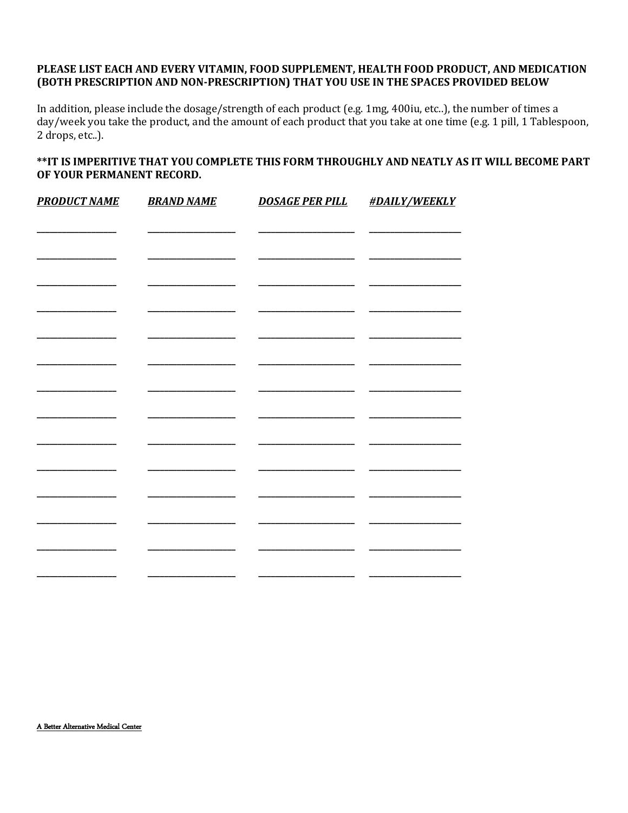## PLEASE LIST EACH AND EVERY VITAMIN, FOOD SUPPLEMENT, HEALTH FOOD PRODUCT, AND MEDICATION (BOTH PRESCRIPTION AND NON-PRESCRIPTION) THAT YOU USE IN THE SPACES PROVIDED BELOW

In addition, please include the dosage/strength of each product (e.g. 1mg, 400iu, etc..), the number of times a day/week you take the product, and the amount of each product that you take at one time (e.g. 1 pill, 1 Tablespoon, 2 drops, etc..).

### \*\*IT IS IMPERITIVE THAT YOU COMPLETE THIS FORM THROUGHLY AND NEATLY AS IT WILL BECOME PART OF YOUR PERMANENT RECORD.

| <b>PRODUCT NAME</b> | <b>BRAND NAME</b> | <u>DOSAGE PER PILL</u> | <b>#DAILY/WEEKLY</b> |
|---------------------|-------------------|------------------------|----------------------|
|                     |                   |                        |                      |
|                     |                   |                        |                      |
|                     |                   |                        |                      |
|                     |                   |                        |                      |
|                     |                   |                        |                      |
|                     |                   |                        |                      |
|                     |                   |                        |                      |
|                     |                   |                        |                      |
|                     |                   |                        |                      |
|                     |                   |                        |                      |
|                     |                   |                        |                      |
|                     |                   |                        |                      |
|                     |                   |                        |                      |

A Better Alternative Medical Center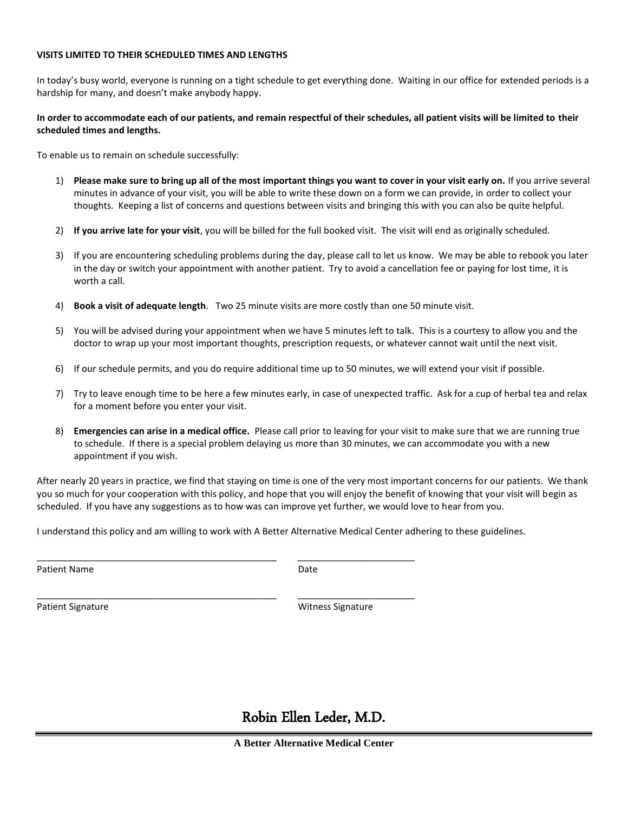#### **VISITS LIMITED TO THEIR SCHEDULED TIMES AND LENGTHS**

In today's busy world, everyone is running on a tight schedule to get everything done. Waiting in our office for extended periods is a hardship for many, and doesn't make anybody happy.

#### **In order to accommodate each of our patients, and remain respectful of their schedules, all patient visits will be limited to their scheduled times and lengths.**

To enable us to remain on schedule successfully:

- 1) **Please make sure to bring up all of the most important things you want to cover in your visit early on.** If you arrive several minutes in advance of your visit, you will be able to write these down on a form we can provide, in order to collect your thoughts. Keeping a list of concerns and questions between visits and bringing this with you can also be quite helpful.
- 2) **If you arrive late for your visit**, you will be billed for the full booked visit. The visit will end as originally scheduled.
- 3) If you are encountering scheduling problems during the day, please call to let us know. We may be able to rebook you later in the day or switch your appointment with another patient. Try to avoid a cancellation fee or paying for lost time, it is worth a call.
- 4) **Book a visit of adequate length**. Two 25 minute visits are more costly than one 50 minute visit.
- 5) You will be advised during your appointment when we have 5 minutes left to talk. This is a courtesy to allow you and the doctor to wrap up your most important thoughts, prescription requests, or whatever cannot wait until the next visit.
- 6) If our schedule permits, and you do require additional time up to 50 minutes, we will extend your visit if possible.
- 7) Try to leave enough time to be here a few minutes early, in case of unexpected traffic. Ask for a cup of herbal tea and relax for a moment before you enter your visit.
- 8) **Emergencies can arise in a medical office.** Please call prior to leaving for your visit to make sure that we are running true to schedule. If there is a special problem delaying us more than 30 minutes, we can accommodate you with a new appointment if you wish.

After nearly 20 years in practice, we find that staying on time is one of the very most important concerns for our patients. We thank you so much for your cooperation with this policy, and hope that you will enjoy the benefit of knowing that your visit will begin as scheduled. If you have any suggestions as to how was can improve yet further, we would love to hear from you.

I understand this policy and am willing to work with A Better Alternative Medical Center adhering to these guidelines.

\_\_\_\_\_\_\_\_\_\_\_\_\_\_\_\_\_\_\_\_\_\_\_\_\_\_\_\_\_\_\_\_\_\_\_\_\_\_\_\_\_\_\_\_\_\_\_ \_\_\_\_\_\_\_\_\_\_\_\_\_\_\_\_\_\_\_\_\_\_\_

\_\_\_\_\_\_\_\_\_\_\_\_\_\_\_\_\_\_\_\_\_\_\_\_\_\_\_\_\_\_\_\_\_\_\_\_\_\_\_\_\_\_\_\_\_\_\_ \_\_\_\_\_\_\_\_\_\_\_\_\_\_\_\_\_\_\_\_\_\_\_

Patient Name Date

Patient Signature **National Signature Witness Signature** Witness Signature

Robin Ellen Leder, M.D.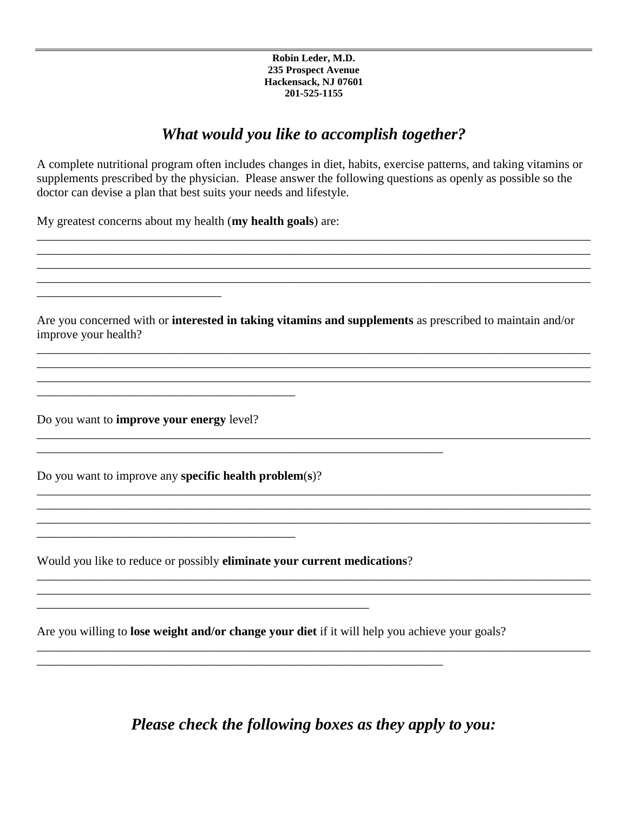**Robin Leder, M.D. 235 Prospect Avenue Hackensack, NJ 07601 201-525-1155**

## *What would you like to accomplish together?*

A complete nutritional program often includes changes in diet, habits, exercise patterns, and taking vitamins or supplements prescribed by the physician. Please answer the following questions as openly as possible so the doctor can devise a plan that best suits your needs and lifestyle.

\_\_\_\_\_\_\_\_\_\_\_\_\_\_\_\_\_\_\_\_\_\_\_\_\_\_\_\_\_\_\_\_\_\_\_\_\_\_\_\_\_\_\_\_\_\_\_\_\_\_\_\_\_\_\_\_\_\_\_\_\_\_\_\_\_\_\_\_\_\_\_\_\_\_\_\_\_\_\_\_\_\_\_\_\_\_\_\_\_\_ \_\_\_\_\_\_\_\_\_\_\_\_\_\_\_\_\_\_\_\_\_\_\_\_\_\_\_\_\_\_\_\_\_\_\_\_\_\_\_\_\_\_\_\_\_\_\_\_\_\_\_\_\_\_\_\_\_\_\_\_\_\_\_\_\_\_\_\_\_\_\_\_\_\_\_\_\_\_\_\_\_\_\_\_\_\_\_\_\_\_ \_\_\_\_\_\_\_\_\_\_\_\_\_\_\_\_\_\_\_\_\_\_\_\_\_\_\_\_\_\_\_\_\_\_\_\_\_\_\_\_\_\_\_\_\_\_\_\_\_\_\_\_\_\_\_\_\_\_\_\_\_\_\_\_\_\_\_\_\_\_\_\_\_\_\_\_\_\_\_\_\_\_\_\_\_\_\_\_\_\_

\_\_\_\_\_\_\_\_\_\_\_\_\_\_\_\_\_\_\_\_\_\_\_\_\_\_\_\_\_\_\_\_\_\_\_\_\_\_\_\_\_\_\_\_\_\_\_\_\_\_\_\_\_\_\_\_\_\_\_\_\_\_\_\_\_\_\_\_\_\_\_\_\_\_\_\_\_\_\_\_\_\_\_\_\_\_\_\_\_\_

My greatest concerns about my health (**my health goals**) are:

Are you concerned with or **interested in taking vitamins and supplements** as prescribed to maintain and/or improve your health?

\_\_\_\_\_\_\_\_\_\_\_\_\_\_\_\_\_\_\_\_\_\_\_\_\_\_\_\_\_\_\_\_\_\_\_\_\_\_\_\_\_\_\_\_\_\_\_\_\_\_\_\_\_\_\_\_\_\_\_\_\_\_\_\_\_\_\_\_\_\_\_\_\_\_\_\_\_\_\_\_\_\_\_\_\_\_\_\_\_\_ \_\_\_\_\_\_\_\_\_\_\_\_\_\_\_\_\_\_\_\_\_\_\_\_\_\_\_\_\_\_\_\_\_\_\_\_\_\_\_\_\_\_\_\_\_\_\_\_\_\_\_\_\_\_\_\_\_\_\_\_\_\_\_\_\_\_\_\_\_\_\_\_\_\_\_\_\_\_\_\_\_\_\_\_\_\_\_\_\_\_ \_\_\_\_\_\_\_\_\_\_\_\_\_\_\_\_\_\_\_\_\_\_\_\_\_\_\_\_\_\_\_\_\_\_\_\_\_\_\_\_\_\_\_\_\_\_\_\_\_\_\_\_\_\_\_\_\_\_\_\_\_\_\_\_\_\_\_\_\_\_\_\_\_\_\_\_\_\_\_\_\_\_\_\_\_\_\_\_\_\_

\_\_\_\_\_\_\_\_\_\_\_\_\_\_\_\_\_\_\_\_\_\_\_\_\_\_\_\_\_\_\_\_\_\_\_\_\_\_\_\_\_\_\_\_\_\_\_\_\_\_\_\_\_\_\_\_\_\_\_\_\_\_\_\_\_\_\_\_\_\_\_\_\_\_\_\_\_\_\_\_\_\_\_\_\_\_\_\_\_\_

\_\_\_\_\_\_\_\_\_\_\_\_\_\_\_\_\_\_\_\_\_\_\_\_\_\_\_\_\_\_\_\_\_\_\_\_\_\_\_\_\_\_\_\_\_\_\_\_\_\_\_\_\_\_\_\_\_\_\_\_\_\_\_\_\_\_\_\_\_\_\_\_\_\_\_\_\_\_\_\_\_\_\_\_\_\_\_\_\_\_ \_\_\_\_\_\_\_\_\_\_\_\_\_\_\_\_\_\_\_\_\_\_\_\_\_\_\_\_\_\_\_\_\_\_\_\_\_\_\_\_\_\_\_\_\_\_\_\_\_\_\_\_\_\_\_\_\_\_\_\_\_\_\_\_\_\_\_\_\_\_\_\_\_\_\_\_\_\_\_\_\_\_\_\_\_\_\_\_\_\_ \_\_\_\_\_\_\_\_\_\_\_\_\_\_\_\_\_\_\_\_\_\_\_\_\_\_\_\_\_\_\_\_\_\_\_\_\_\_\_\_\_\_\_\_\_\_\_\_\_\_\_\_\_\_\_\_\_\_\_\_\_\_\_\_\_\_\_\_\_\_\_\_\_\_\_\_\_\_\_\_\_\_\_\_\_\_\_\_\_\_

\_\_\_\_\_\_\_\_\_\_\_\_\_\_\_\_\_\_\_\_\_\_\_\_\_\_\_\_\_\_\_\_\_\_\_\_\_\_\_\_\_\_\_\_\_\_\_\_\_\_\_\_\_\_\_\_\_\_\_\_\_\_\_\_\_\_\_\_\_\_\_\_\_\_\_\_\_\_\_\_\_\_\_\_\_\_\_\_\_\_ \_\_\_\_\_\_\_\_\_\_\_\_\_\_\_\_\_\_\_\_\_\_\_\_\_\_\_\_\_\_\_\_\_\_\_\_\_\_\_\_\_\_\_\_\_\_\_\_\_\_\_\_\_\_\_\_\_\_\_\_\_\_\_\_\_\_\_\_\_\_\_\_\_\_\_\_\_\_\_\_\_\_\_\_\_\_\_\_\_\_

\_\_\_\_\_\_\_\_\_\_\_\_\_\_\_\_\_\_\_\_\_\_\_\_\_\_\_\_\_\_\_\_\_\_\_\_\_\_\_\_\_\_\_\_\_\_\_\_\_\_\_\_\_\_\_\_\_\_\_\_\_\_\_\_\_\_\_\_\_\_\_\_\_\_\_\_\_\_\_\_\_\_\_\_\_\_\_\_\_\_

Do you want to **improve your energy** level?

\_\_\_\_\_\_\_\_\_\_\_\_\_\_\_\_\_\_\_\_\_\_\_\_\_\_\_\_\_\_\_\_\_\_\_\_\_\_\_\_\_\_

\_\_\_\_\_\_\_\_\_\_\_\_\_\_\_\_\_\_\_\_\_\_\_\_\_\_\_\_\_\_

Do you want to improve any **specific health problem**(**s**)?

\_\_\_\_\_\_\_\_\_\_\_\_\_\_\_\_\_\_\_\_\_\_\_\_\_\_\_\_\_\_\_\_\_\_\_\_\_\_\_\_\_\_

Would you like to reduce or possibly **eliminate your current medications**?

\_\_\_\_\_\_\_\_\_\_\_\_\_\_\_\_\_\_\_\_\_\_\_\_\_\_\_\_\_\_\_\_\_\_\_\_\_\_\_\_\_\_\_\_\_\_\_\_\_\_\_\_\_\_\_\_\_\_\_\_\_\_\_\_\_\_

\_\_\_\_\_\_\_\_\_\_\_\_\_\_\_\_\_\_\_\_\_\_\_\_\_\_\_\_\_\_\_\_\_\_\_\_\_\_\_\_\_\_\_\_\_\_\_\_\_\_\_\_\_\_

\_\_\_\_\_\_\_\_\_\_\_\_\_\_\_\_\_\_\_\_\_\_\_\_\_\_\_\_\_\_\_\_\_\_\_\_\_\_\_\_\_\_\_\_\_\_\_\_\_\_\_\_\_\_\_\_\_\_\_\_\_\_\_\_\_\_

Are you willing to **lose weight and/or change your diet** if it will help you achieve your goals?

*Please check the following boxes as they apply to you:*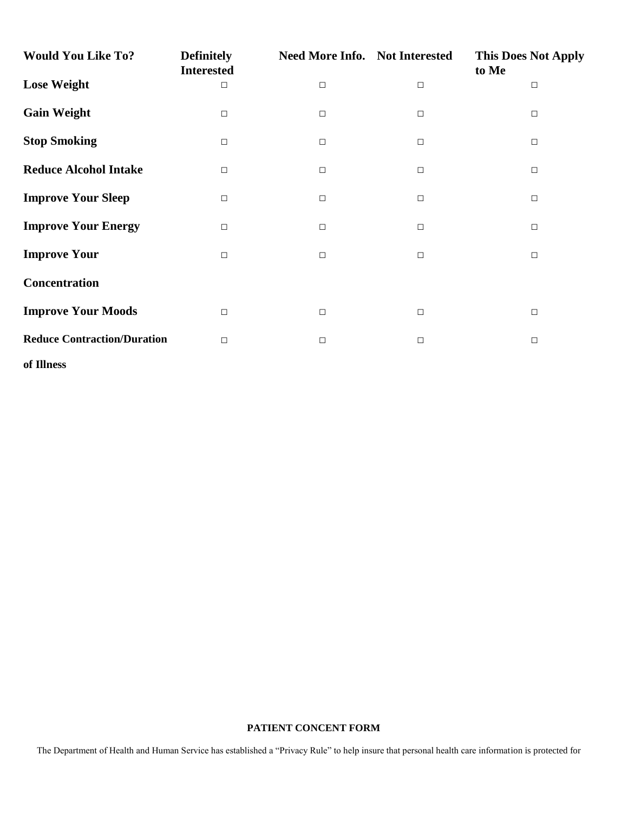| <b>Would You Like To?</b>          | <b>Definitely</b><br><b>Interested</b> | <b>Need More Info. Not Interested</b> |        | <b>This Does Not Apply</b><br>to Me |
|------------------------------------|----------------------------------------|---------------------------------------|--------|-------------------------------------|
| <b>Lose Weight</b>                 | $\Box$                                 | $\Box$                                | $\Box$ | $\Box$                              |
| <b>Gain Weight</b>                 | $\Box$                                 | $\Box$                                | $\Box$ | $\Box$                              |
| <b>Stop Smoking</b>                | $\Box$                                 | $\Box$                                | $\Box$ | $\Box$                              |
| <b>Reduce Alcohol Intake</b>       | $\Box$                                 | $\Box$                                | $\Box$ | $\Box$                              |
| <b>Improve Your Sleep</b>          | $\Box$                                 | $\Box$                                | $\Box$ | $\Box$                              |
| <b>Improve Your Energy</b>         | $\Box$                                 | $\Box$                                | $\Box$ | $\Box$                              |
| <b>Improve Your</b>                | $\Box$                                 | $\Box$                                | $\Box$ | $\Box$                              |
| Concentration                      |                                        |                                       |        |                                     |
| <b>Improve Your Moods</b>          | $\Box$                                 | $\Box$                                | $\Box$ | $\Box$                              |
| <b>Reduce Contraction/Duration</b> | $\Box$                                 | $\Box$                                | $\Box$ | $\Box$                              |
| of Illness                         |                                        |                                       |        |                                     |

#### **PATIENT CONCENT FORM**

The Department of Health and Human Service has established a "Privacy Rule" to help insure that personal health care information is protected for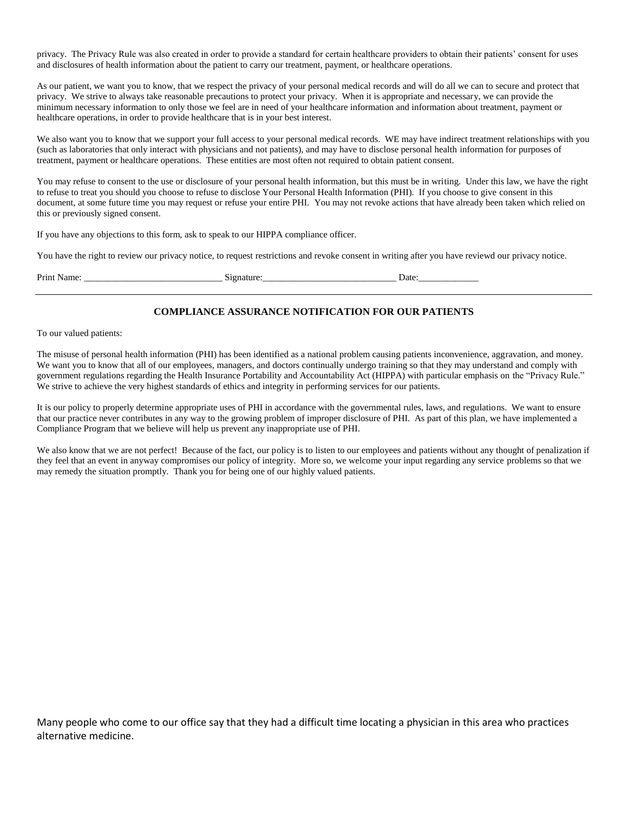privacy. The Privacy Rule was also created in order to provide a standard for certain healthcare providers to obtain their patients' consent for uses and disclosures of health information about the patient to carry our treatment, payment, or healthcare operations.

As our patient, we want you to know, that we respect the privacy of your personal medical records and will do all we can to secure and protect that privacy. We strive to always take reasonable precautions to protect your privacy. When it is appropriate and necessary, we can provide the minimum necessary information to only those we feel are in need of your healthcare information and information about treatment, payment or healthcare operations, in order to provide healthcare that is in your best interest.

We also want you to know that we support your full access to your personal medical records. WE may have indirect treatment relationships with you (such as laboratories that only interact with physicians and not patients), and may have to disclose personal health information for purposes of treatment, payment or healthcare operations. These entities are most often not required to obtain patient consent.

You may refuse to consent to the use or disclosure of your personal health information, but this must be in writing. Under this law, we have the right to refuse to treat you should you choose to refuse to disclose Your Personal Health Information (PHI). If you choose to give consent in this document, at some future time you may request or refuse your entire PHI. You may not revoke actions that have already been taken which relied on this or previously signed consent.

If you have any objections to this form, ask to speak to our HIPPA compliance officer.

You have the right to review our privacy notice, to request restrictions and revoke consent in writing after you have reviewd our privacy notice.

| Print<br>Name.<br>…natur~<br>Jate:<br>- |  |
|-----------------------------------------|--|
|-----------------------------------------|--|

#### **COMPLIANCE ASSURANCE NOTIFICATION FOR OUR PATIENTS**

To our valued patients:

The misuse of personal health information (PHI) has been identified as a national problem causing patients inconvenience, aggravation, and money. We want you to know that all of our employees, managers, and doctors continually undergo training so that they may understand and comply with government regulations regarding the Health Insurance Portability and Accountability Act (HIPPA) with particular emphasis on the "Privacy Rule." We strive to achieve the very highest standards of ethics and integrity in performing services for our patients.

It is our policy to properly determine appropriate uses of PHI in accordance with the governmental rules, laws, and regulations. We want to ensure that our practice never contributes in any way to the growing problem of improper disclosure of PHI. As part of this plan, we have implemented a Compliance Program that we believe will help us prevent any inappropriate use of PHI.

We also know that we are not perfect! Because of the fact, our policy is to listen to our employees and patients without any thought of penalization if they feel that an event in anyway compromises our policy of integrity. More so, we welcome your input regarding any service problems so that we may remedy the situation promptly. Thank you for being one of our highly valued patients.

Many people who come to our office say that they had a difficult time locating a physician in this area who practices alternative medicine.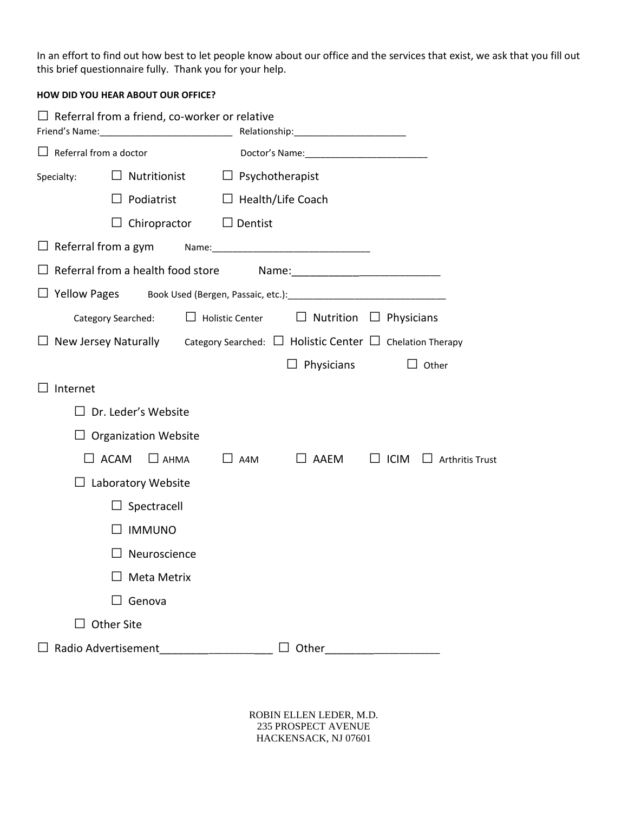In an effort to find out how best to let people know about our office and the services that exist, we ask that you fill out this brief questionnaire fully. Thank you for your help.

#### **HOW DID YOU HEAR ABOUT OUR OFFICE?**

|                               | $\Box$ Referral from a friend, co-worker or relative |                        |                |                                                                                                |                   |                                    |
|-------------------------------|------------------------------------------------------|------------------------|----------------|------------------------------------------------------------------------------------------------|-------------------|------------------------------------|
| $\Box$ Referral from a doctor |                                                      |                        |                |                                                                                                |                   |                                    |
| Specialty:                    | $\Box$ Nutritionist                                  |                        |                | $\Box$ Psychotherapist                                                                         |                   |                                    |
|                               | $\Box$ Podiatrist                                    |                        |                | $\Box$ Health/Life Coach                                                                       |                   |                                    |
|                               | Chiropractor                                         |                        | $\Box$ Dentist |                                                                                                |                   |                                    |
|                               |                                                      |                        |                |                                                                                                |                   |                                    |
|                               | $\Box$ Referral from a health food store             |                        |                |                                                                                                |                   |                                    |
|                               |                                                      |                        |                | Yellow Pages Book Used (Bergen, Passaic, etc.): [19] Decrement Pages And Pages And Pages       |                   |                                    |
|                               | Category Searched:                                   | $\Box$ Holistic Center |                | $\Box$ Nutrition                                                                               | $\Box$ Physicians |                                    |
|                               |                                                      |                        |                | $\Box$ New Jersey Naturally category Searched: $\Box$ Holistic Center $\Box$ Chelation Therapy |                   |                                    |
|                               |                                                      |                        |                | Physicians                                                                                     |                   | Other                              |
| Internet                      |                                                      |                        |                |                                                                                                |                   |                                    |
|                               | Dr. Leder's Website                                  |                        |                |                                                                                                |                   |                                    |
|                               | $\Box$ Organization Website                          |                        |                |                                                                                                |                   |                                    |
|                               | $\Box$ ACAM<br>$\Box$ AHMA                           |                        | $\Box$ A4M     | $\square$ AAEM                                                                                 |                   | $\Box$ ICIM $\Box$ Arthritis Trust |
|                               | $\Box$ Laboratory Website                            |                        |                |                                                                                                |                   |                                    |
|                               | $\Box$ Spectracell                                   |                        |                |                                                                                                |                   |                                    |
|                               | <b>IMMUNO</b>                                        |                        |                |                                                                                                |                   |                                    |
|                               | Neuroscience                                         |                        |                |                                                                                                |                   |                                    |
|                               | <b>Meta Metrix</b>                                   |                        |                |                                                                                                |                   |                                    |
|                               | Genova<br>$\Box$                                     |                        |                |                                                                                                |                   |                                    |
|                               | $\Box$ Other Site                                    |                        |                |                                                                                                |                   |                                    |
|                               |                                                      |                        |                | $\Box$ Other______________________                                                             |                   |                                    |

ROBIN ELLEN LEDER, M.D. 235 PROSPECT AVENUE HACKENSACK, NJ 07601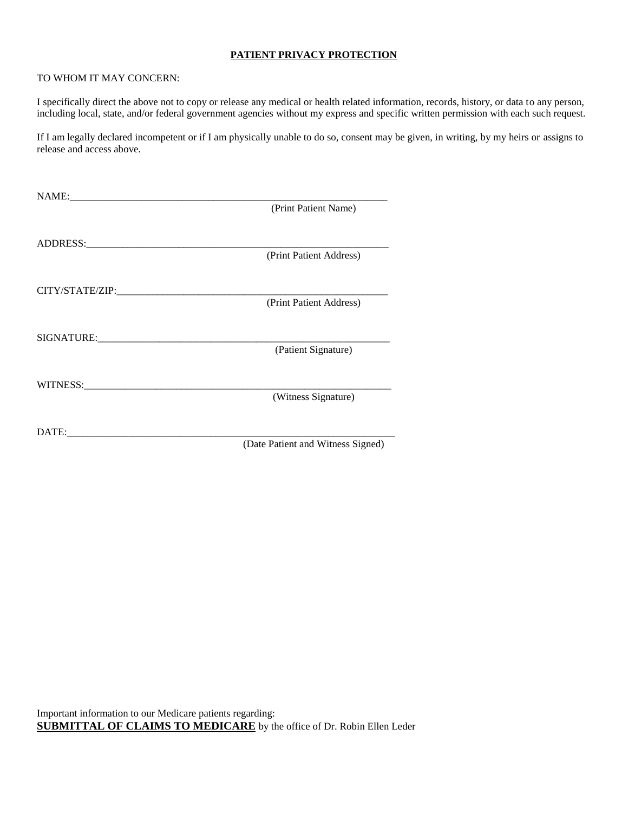#### **PATIENT PRIVACY PROTECTION**

#### TO WHOM IT MAY CONCERN:

I specifically direct the above not to copy or release any medical or health related information, records, history, or data to any person, including local, state, and/or federal government agencies without my express and specific written permission with each such request.

If I am legally declared incompetent or if I am physically unable to do so, consent may be given, in writing, by my heirs or assigns to release and access above.

| (Print Patient Name)              |
|-----------------------------------|
|                                   |
| (Print Patient Address)           |
|                                   |
| (Print Patient Address)           |
|                                   |
| (Patient Signature)               |
|                                   |
| (Witness Signature)               |
|                                   |
| (Date Patient and Witness Signed) |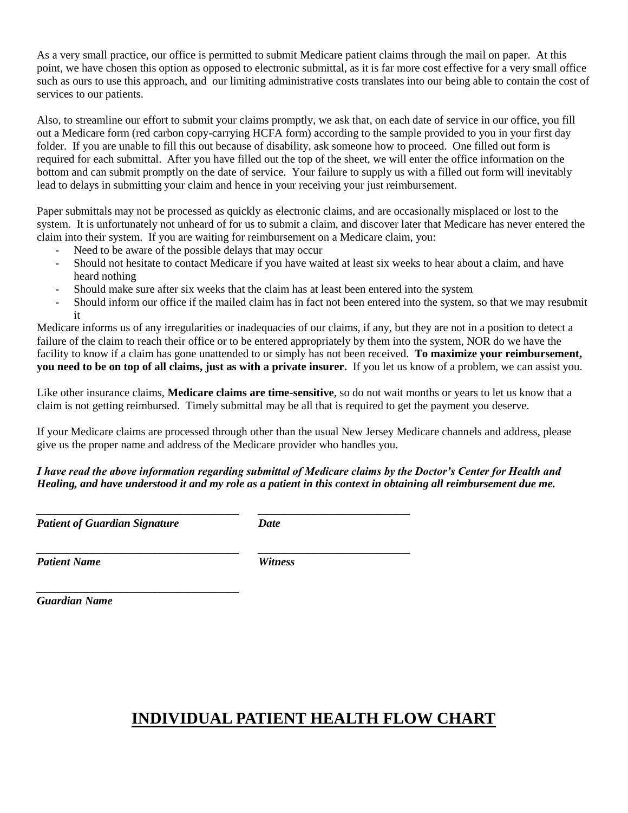As a very small practice, our office is permitted to submit Medicare patient claims through the mail on paper. At this point, we have chosen this option as opposed to electronic submittal, as it is far more cost effective for a very small office such as ours to use this approach, and our limiting administrative costs translates into our being able to contain the cost of services to our patients.

Also, to streamline our effort to submit your claims promptly, we ask that, on each date of service in our office, you fill out a Medicare form (red carbon copy-carrying HCFA form) according to the sample provided to you in your first day folder. If you are unable to fill this out because of disability, ask someone how to proceed. One filled out form is required for each submittal. After you have filled out the top of the sheet, we will enter the office information on the bottom and can submit promptly on the date of service. Your failure to supply us with a filled out form will inevitably lead to delays in submitting your claim and hence in your receiving your just reimbursement.

Paper submittals may not be processed as quickly as electronic claims, and are occasionally misplaced or lost to the system. It is unfortunately not unheard of for us to submit a claim, and discover later that Medicare has never entered the claim into their system. If you are waiting for reimbursement on a Medicare claim, you:

- Need to be aware of the possible delays that may occur
- Should not hesitate to contact Medicare if you have waited at least six weeks to hear about a claim, and have heard nothing
- Should make sure after six weeks that the claim has at least been entered into the system
- Should inform our office if the mailed claim has in fact not been entered into the system, so that we may resubmit it

Medicare informs us of any irregularities or inadequacies of our claims, if any, but they are not in a position to detect a failure of the claim to reach their office or to be entered appropriately by them into the system, NOR do we have the facility to know if a claim has gone unattended to or simply has not been received. **To maximize your reimbursement, you need to be on top of all claims, just as with a private insurer.** If you let us know of a problem, we can assist you.

Like other insurance claims, **Medicare claims are time-sensitive**, so do not wait months or years to let us know that a claim is not getting reimbursed. Timely submittal may be all that is required to get the payment you deserve.

If your Medicare claims are processed through other than the usual New Jersey Medicare channels and address, please give us the proper name and address of the Medicare provider who handles you.

## *I have read the above information regarding submittal of Medicare claims by the Doctor's Center for Health and Healing, and have understood it and my role as a patient in this context in obtaining all reimbursement due me.*

*\_\_\_\_\_\_\_\_\_\_\_\_\_\_\_\_\_\_\_\_\_\_\_\_\_\_\_\_\_\_\_\_\_\_\_\_ \_\_\_\_\_\_\_\_\_\_\_\_\_\_\_\_\_\_\_\_\_\_\_\_\_\_\_ Patient of Guardian Signature Date*

*\_\_\_\_\_\_\_\_\_\_\_\_\_\_\_\_\_\_\_\_\_\_\_\_\_\_\_\_\_\_\_\_\_\_\_\_*

*\_\_\_\_\_\_\_\_\_\_\_\_\_\_\_\_\_\_\_\_\_\_\_\_\_\_\_\_\_\_\_\_\_\_\_\_ \_\_\_\_\_\_\_\_\_\_\_\_\_\_\_\_\_\_\_\_\_\_\_\_\_\_\_*

*Patient Name Witness*

*Guardian Name*

# **INDIVIDUAL PATIENT HEALTH FLOW CHART**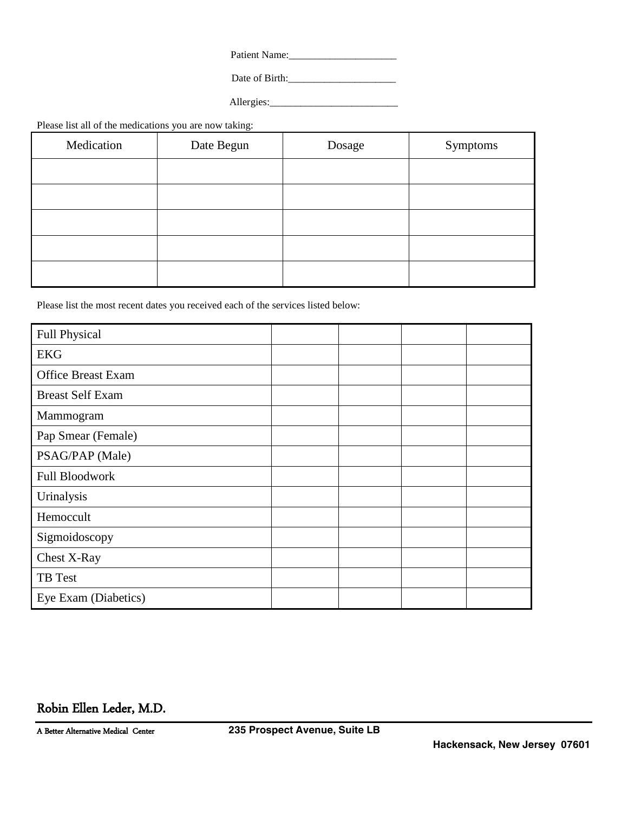| <b>Patient Name:</b> |  |
|----------------------|--|
|                      |  |

Date of Birth:\_\_\_\_\_\_\_\_\_\_\_\_\_\_\_\_\_\_\_\_\_

Allergies:\_\_\_\_\_\_\_\_\_\_\_\_\_\_\_\_\_\_\_\_\_\_\_\_\_

Please list all of the medications you are now taking:

| Medication | Date Begun | Dosage | Symptoms |  |
|------------|------------|--------|----------|--|
|            |            |        |          |  |
|            |            |        |          |  |
|            |            |        |          |  |
|            |            |        |          |  |
|            |            |        |          |  |

Please list the most recent dates you received each of the services listed below:

| <b>Full Physical</b>      |  |  |
|---------------------------|--|--|
| <b>EKG</b>                |  |  |
| <b>Office Breast Exam</b> |  |  |
| <b>Breast Self Exam</b>   |  |  |
| Mammogram                 |  |  |
| Pap Smear (Female)        |  |  |
| PSAG/PAP (Male)           |  |  |
| <b>Full Bloodwork</b>     |  |  |
| Urinalysis                |  |  |
| Hemoccult                 |  |  |
| Sigmoidoscopy             |  |  |
| Chest X-Ray               |  |  |
| TB Test                   |  |  |
| Eye Exam (Diabetics)      |  |  |

Robin Ellen Leder, M.D.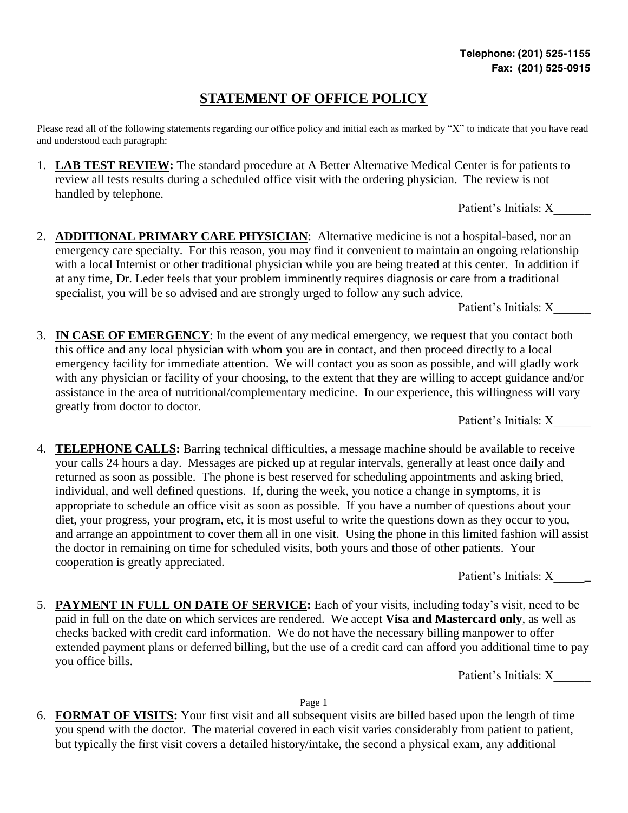## **STATEMENT OF OFFICE POLICY**

Please read all of the following statements regarding our office policy and initial each as marked by "X" to indicate that you have read and understood each paragraph:

1. **LAB TEST REVIEW:** The standard procedure at A Better Alternative Medical Center is for patients to review all tests results during a scheduled office visit with the ordering physician. The review is not handled by telephone.

Patient's Initials: X\_\_\_\_\_\_

2. **ADDITIONAL PRIMARY CARE PHYSICIAN**: Alternative medicine is not a hospital-based, nor an emergency care specialty. For this reason, you may find it convenient to maintain an ongoing relationship with a local Internist or other traditional physician while you are being treated at this center. In addition if at any time, Dr. Leder feels that your problem imminently requires diagnosis or care from a traditional specialist, you will be so advised and are strongly urged to follow any such advice.

Patient's Initials: X\_\_\_\_\_\_

3. **IN CASE OF EMERGENCY**: In the event of any medical emergency, we request that you contact both this office and any local physician with whom you are in contact, and then proceed directly to a local emergency facility for immediate attention. We will contact you as soon as possible, and will gladly work with any physician or facility of your choosing, to the extent that they are willing to accept guidance and/or assistance in the area of nutritional/complementary medicine. In our experience, this willingness will vary greatly from doctor to doctor.

Patient's Initials: X\_\_\_\_\_\_

4. **TELEPHONE CALLS:** Barring technical difficulties, a message machine should be available to receive your calls 24 hours a day. Messages are picked up at regular intervals, generally at least once daily and returned as soon as possible. The phone is best reserved for scheduling appointments and asking bried, individual, and well defined questions. If, during the week, you notice a change in symptoms, it is appropriate to schedule an office visit as soon as possible. If you have a number of questions about your diet, your progress, your program, etc, it is most useful to write the questions down as they occur to you, and arrange an appointment to cover them all in one visit. Using the phone in this limited fashion will assist the doctor in remaining on time for scheduled visits, both yours and those of other patients. Your cooperation is greatly appreciated.

Patient's Initials: X\_\_\_\_\_\_

5. **PAYMENT IN FULL ON DATE OF SERVICE:** Each of your visits, including today's visit, need to be paid in full on the date on which services are rendered. We accept **Visa and Mastercard only**, as well as checks backed with credit card information. We do not have the necessary billing manpower to offer extended payment plans or deferred billing, but the use of a credit card can afford you additional time to pay you office bills.

Patient's Initials: X\_\_\_\_\_\_

Page 1

6. **FORMAT OF VISITS:** Your first visit and all subsequent visits are billed based upon the length of time you spend with the doctor. The material covered in each visit varies considerably from patient to patient, but typically the first visit covers a detailed history/intake, the second a physical exam, any additional